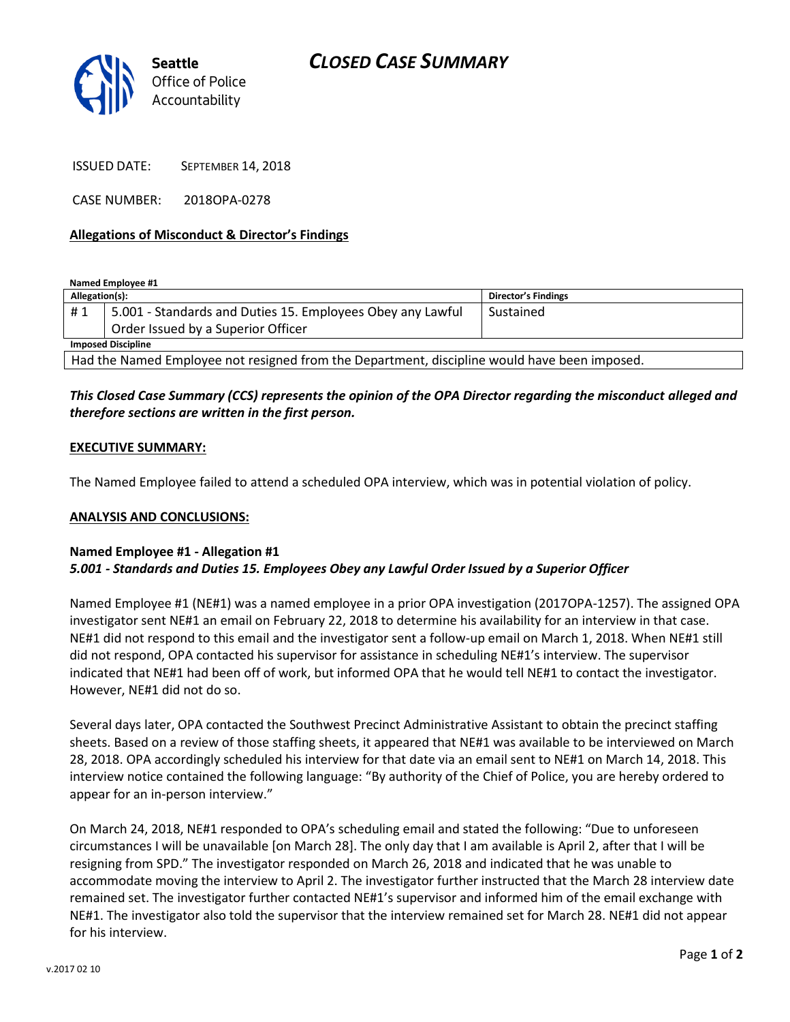

ISSUED DATE: SEPTEMBER 14, 2018

CASE NUMBER: 2018OPA-0278

# **Allegations of Misconduct & Director's Findings**

**Named Employee #1**

| Allegation(s):                                                                               |                                                            | Director's Findings |
|----------------------------------------------------------------------------------------------|------------------------------------------------------------|---------------------|
| #1                                                                                           | 5.001 - Standards and Duties 15. Employees Obey any Lawful | Sustained           |
|                                                                                              | Order Issued by a Superior Officer                         |                     |
| <b>Imposed Discipline</b>                                                                    |                                                            |                     |
| Had the Named Employee not resigned from the Department, discipline would have been imposed. |                                                            |                     |

# *This Closed Case Summary (CCS) represents the opinion of the OPA Director regarding the misconduct alleged and therefore sections are written in the first person.*

# **EXECUTIVE SUMMARY:**

The Named Employee failed to attend a scheduled OPA interview, which was in potential violation of policy.

#### **ANALYSIS AND CONCLUSIONS:**

# **Named Employee #1 - Allegation #1** *5.001 - Standards and Duties 15. Employees Obey any Lawful Order Issued by a Superior Officer*

Named Employee #1 (NE#1) was a named employee in a prior OPA investigation (2017OPA-1257). The assigned OPA investigator sent NE#1 an email on February 22, 2018 to determine his availability for an interview in that case. NE#1 did not respond to this email and the investigator sent a follow-up email on March 1, 2018. When NE#1 still did not respond, OPA contacted his supervisor for assistance in scheduling NE#1's interview. The supervisor indicated that NE#1 had been off of work, but informed OPA that he would tell NE#1 to contact the investigator. However, NE#1 did not do so.

Several days later, OPA contacted the Southwest Precinct Administrative Assistant to obtain the precinct staffing sheets. Based on a review of those staffing sheets, it appeared that NE#1 was available to be interviewed on March 28, 2018. OPA accordingly scheduled his interview for that date via an email sent to NE#1 on March 14, 2018. This interview notice contained the following language: "By authority of the Chief of Police, you are hereby ordered to appear for an in-person interview."

On March 24, 2018, NE#1 responded to OPA's scheduling email and stated the following: "Due to unforeseen circumstances I will be unavailable [on March 28]. The only day that I am available is April 2, after that I will be resigning from SPD." The investigator responded on March 26, 2018 and indicated that he was unable to accommodate moving the interview to April 2. The investigator further instructed that the March 28 interview date remained set. The investigator further contacted NE#1's supervisor and informed him of the email exchange with NE#1. The investigator also told the supervisor that the interview remained set for March 28. NE#1 did not appear for his interview.